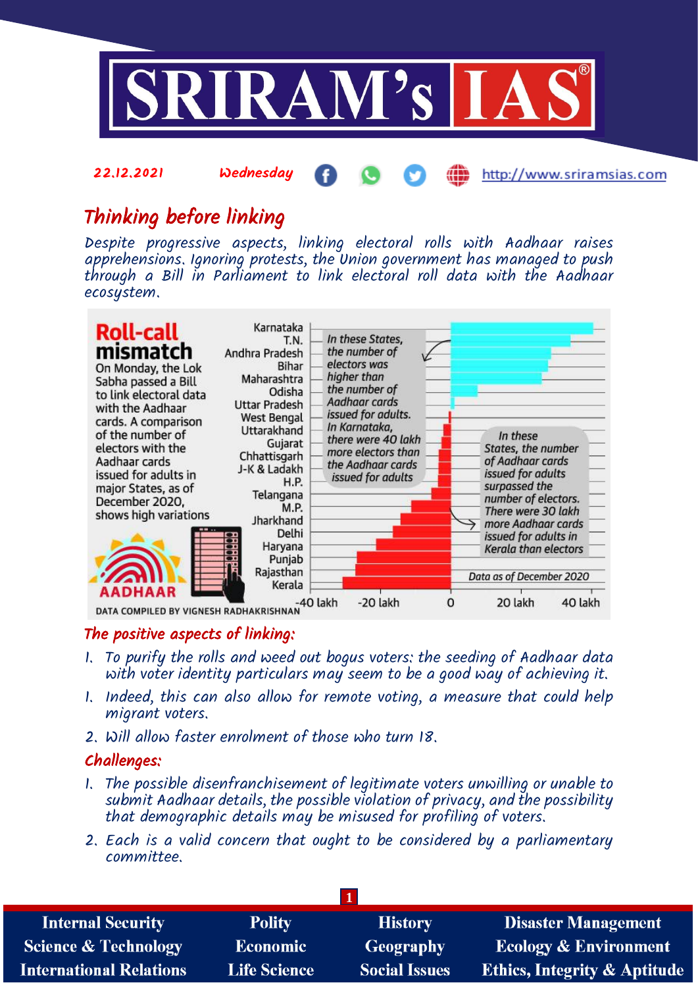

http://www.sriramsias.com

# Thinking before linking

22.12.2021 Wednesday

Despite progressive aspects, linking electoral rolls with Aadhaar raises apprehensions. Ignoring protests, the Union government has managed to push through a Bill in Parliament to link electoral roll data with the Aadhaar ecosystem.



## The positive aspects of linking:

- 1. To purify the rolls and weed out bogus voters: the seeding of Aadhaar data with voter identity particulars may seem to be a good way of achieving it.
- 1. Indeed, this can also allow for remote voting, a measure that could help migrant voters.
- 2. Will allow faster enrolment of those who turn 18.

# Challenges:

- 1. The possible disenfranchisement of legitimate voters unwilling or unable to submit Aadhaar details, the possible violation of privacy, and the possibility that demographic details may be misused for profiling of voters.
- 2. Each is a valid concern that ought to be considered by a parliamentary committee.

| <b>Internal Security</b>        | <b>Polity</b>       | <b>History</b>       | <b>Disaster Management</b>              |
|---------------------------------|---------------------|----------------------|-----------------------------------------|
| <b>Science &amp; Technology</b> | <b>Economic</b>     | <b>Geography</b>     | <b>Ecology &amp; Environment</b>        |
| <b>International Relations</b>  | <b>Life Science</b> | <b>Social Issues</b> | <b>Ethics, Integrity &amp; Aptitude</b> |